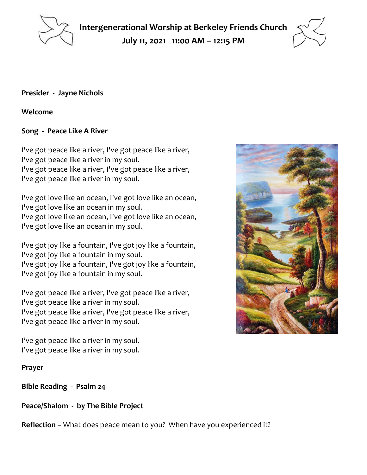

**Intergenerational Worship at Berkeley Friends Church July 11, 2021 11:00 AM – 12:15 PM**



#### **Presider - Jayne Nichols**

**Welcome**

**Song - Peace Like A River**

I've got peace like a river, I've got peace like a river, I've got peace like a river in my soul. I've got peace like a river, I've got peace like a river, I've got peace like a river in my soul.

I've got love like an ocean, I've got love like an ocean, I've got love like an ocean in my soul. I've got love like an ocean, I've got love like an ocean, I've got love like an ocean in my soul.

I've got joy like a fountain, I've got joy like a fountain, I've got joy like a fountain in my soul. I've got joy like a fountain, I've got joy like a fountain, I've got joy like a fountain in my soul.

I've got peace like a river, I've got peace like a river, I've got peace like a river in my soul. I've got peace like a river, I've got peace like a river, I've got peace like a river in my soul.



I've got peace like a river in my soul. I've got peace like a river in my soul.

**Prayer**

**Bible Reading - Psalm 24**

**Peace/Shalom - by The Bible Project**

**Reflection** – What does peace mean to you? When have you experienced it?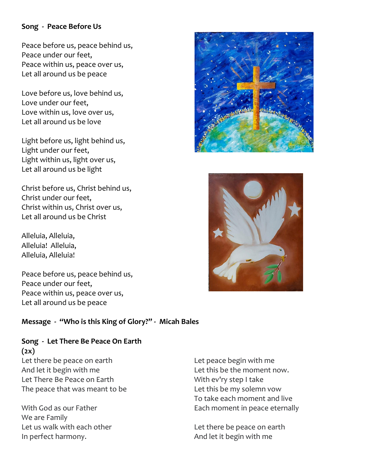### **Song - Peace Before Us**

Peace before us, peace behind us, Peace under our feet, Peace within us, peace over us, Let all around us be peace

Love before us, love behind us, Love under our feet, Love within us, love over us, Let all around us be love

Light before us, light behind us, Light under our feet, Light within us, light over us, Let all around us be light

Christ before us, Christ behind us, Christ under our feet, Christ within us, Christ over us, Let all around us be Christ

Alleluia, Alleluia, Alleluia! Alleluia, Alleluia, Alleluia!

Peace before us, peace behind us, Peace under our feet, Peace within us, peace over us, Let all around us be peace

#### **Message - "Who is this King of Glory?" - Micah Bales**

#### **Song - Let There Be Peace On Earth (2x)**

Let there be peace on earth And let it begin with me Let There Be Peace on Earth The peace that was meant to be

With God as our Father We are Family Let us walk with each other In perfect harmony.

Let peace begin with me Let this be the moment now. With ev'ry step I take Let this be my solemn vow To take each moment and live Each moment in peace eternally

Let there be peace on earth And let it begin with me



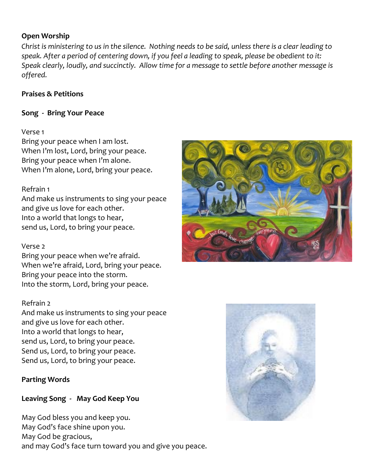# **Open Worship**

*Christ is ministering to us in the silence. Nothing needs to be said, unless there is a clear leading to speak. After a period of centering down, if you feel a leading to speak, please be obedient to it: Speak clearly, loudly, and succinctly. Allow time for a message to settle before another message is offered.*

### **Praises & Petitions**

### **Song - Bring Your Peace**

#### Verse 1

Bring your peace when I am lost. When I'm lost, Lord, bring your peace. Bring your peace when I'm alone. When I'm alone, Lord, bring your peace.

## Refrain 1

And make us instruments to sing your peace and give us love for each other. Into a world that longs to hear, send us, Lord, to bring your peace.

#### Verse 2

Bring your peace when we're afraid. When we're afraid, Lord, bring your peace. Bring your peace into the storm. Into the storm, Lord, bring your peace.

# Refrain 2

And make us instruments to sing your peace and give us love for each other. Into a world that longs to hear, send us, Lord, to bring your peace. Send us, Lord, to bring your peace. Send us, Lord, to bring your peace.

# **Parting Words**

# **Leaving Song - May God Keep You**

May God bless you and keep you. May God's face shine upon you. May God be gracious, and may God's face turn toward you and give you peace.



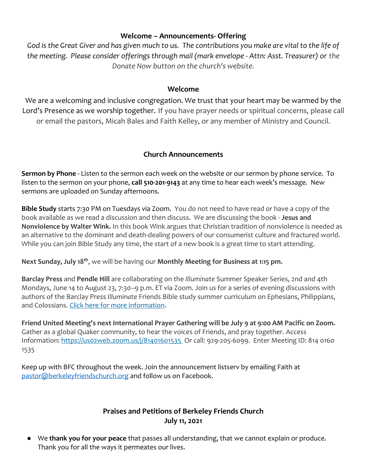### **Welcome – Announcements- Offering**

*God is the Great Giver and has given much to us. The contributions you make are vital to the life of the meeting. Please consider offerings through mail (mark envelope - Attn: Asst. Treasurer) or the Donate Now button on the church's website.*

#### **Welcome**

We are a welcoming and inclusive congregation. We trust that your heart may be warmed by the Lord's Presence as we worship together. If you have prayer needs or spiritual concerns, please call or email the pastors, Micah Bales and Faith Kelley, or any member of Ministry and Council.

## **Church Announcements**

**Sermon by Phone -** Listen to the sermon each week on the website or our sermon by phone service. To listen to the sermon on your phone, **call 510-201-9143** at any time to hear each week's message. New sermons are uploaded on Sunday afternoons.

**Bible Study** starts 7:30 PM on Tuesdays via Zoom. You do not need to have read or have a copy of the book available as we read a discussion and then discuss. We are discussing the book - **Jesus and Nonviolence by Walter Wink.** In this book Wink argues that Christian tradition of nonviolence is needed as an alternative to the dominant and death-dealing powers of our consumerist culture and fractured world. While you can join Bible Study any time, the start of a new book is a great time to start attending.

**Next Sunday, July 18th**, we will be having our **Monthly Meeting for Business at 1:15 pm.**

**Barclay Press** and **Pendle Hill** are collaborating on the *Illuminate* Summer Speaker Series, 2nd and 4th Mondays, June 14 to August 23, 7:30–9 p.m. ET via Zoom. Join us for a series of evening discussions with authors of the Barclay Press *Illuminate* Friends Bible study summer curriculum on Ephesians, Philippians, and Colossians. [Click here for more information.](https://scymf.us15.list-manage.com/track/click?u=b3919ba778f46050fb765c146&id=8d1e399759&e=445a862d65)

**Friend United Meeting's next International Prayer Gathering will be July 9 at 9:00 AM Pacific on Zoom.**  Gather as a global Quaker community, to hear the voices of Friends, and pray together. Access Information: https://uso2web.zoom.us/j/81401601535. Or call: 929-205-6099. Enter Meeting ID: 814 0160 1535

Keep up with BFC throughout the week. Join the announcement listserv by emailing Faith at [pastor@berkeleyfriendschurch.org](mailto:pastor@berkeleyfriendschurch.org) and follow us on Facebook.

# **Praises and Petitions of Berkeley Friends Church July 11, 2021**

● We **thank you for your peace** that passes all understanding, that we cannot explain or produce. Thank you for all the ways it permeates our lives.